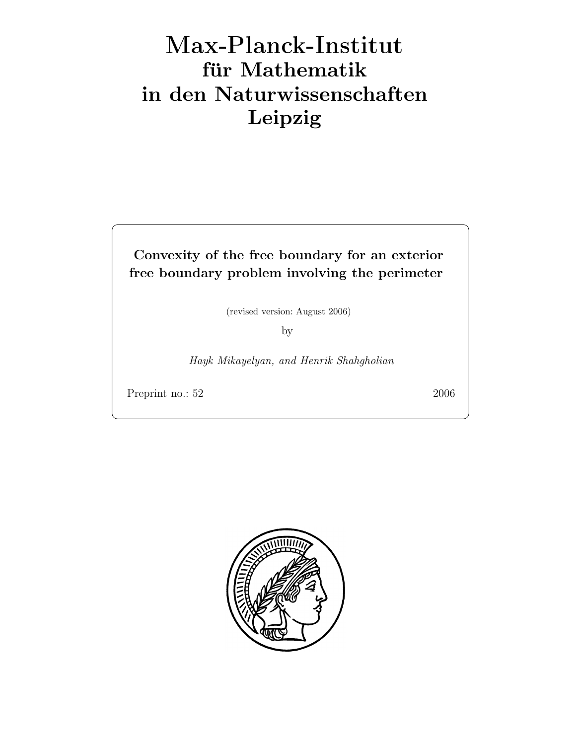# Max-Plan
k-Institut für Mathematik in den Naturwissenschaften Leipzig

# Convexity of the free boundary for an exterior free boundary problem involving the perimeter

(revised version: August 2006)

by

Hayk Mikayelyan, and Henrik Shahgholian

Preprint no.: 52 2006

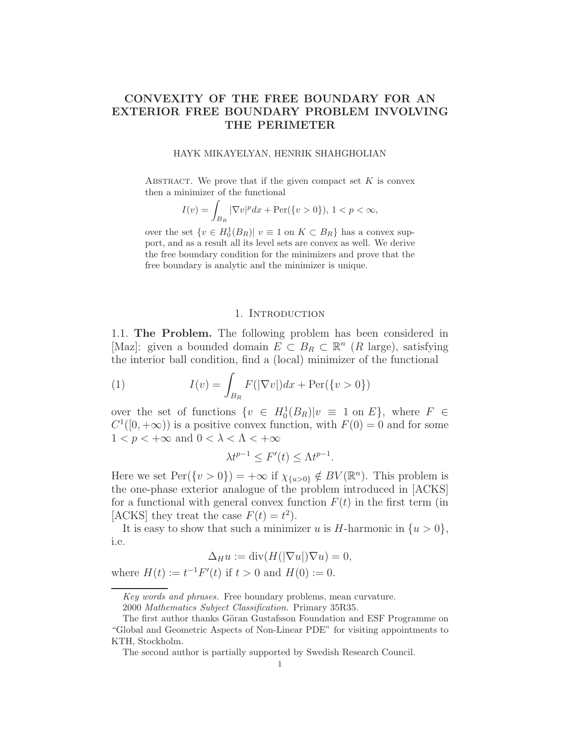## CONVEXITY OF THE FREE BOUNDARY FOR AN EXTERIOR FREE BOUNDARY PROBLEM INVOLVING THE PERIMETER

#### HAYK MIKAYELYAN, HENRIK SHAHGHOLIAN

ABSTRACT. We prove that if the given compact set  $K$  is convex then a minimizer of the functional

$$
I(v) = \int_{B_R} |\nabla v|^p dx + \text{Per}(\{v > 0\}), \ 1 < p < \infty,
$$

over the set  $\{v \in H_0^1(B_R) | v \equiv 1 \text{ on } K \subset B_R\}$  has a convex support, and as a result all its level sets are convex as well. We derive the free boundary condition for the minimizers and prove that the free boundary is analytic and the minimizer is unique.

#### 1. Introduction

1.1. The Problem. The following problem has been considered in [Maz]: given a bounded domain  $E \subset B_R \subset \mathbb{R}^n$  (R large), satisfying the interior ball condition, find a (local) minimizer of the functional

(1) 
$$
I(v) = \int_{B_R} F(|\nabla v|) dx + \text{Per}(\{v > 0\})
$$

over the set of functions  $\{v \in H_0^1(B_R)|v \equiv 1 \text{ on } E\}$ , where  $F \in$  $C^1([0, +\infty))$  is a positive convex function, with  $F(0) = 0$  and for some  $1 < p < +\infty$  and  $0 < \lambda < \Lambda < +\infty$ 

$$
\lambda t^{p-1} \le F'(t) \le \Lambda t^{p-1}.
$$

Here we set  $\text{Per}(\{v > 0\}) = +\infty$  if  $\chi_{\{u > 0\}} \notin BV(\mathbb{R}^n)$ . This problem is the one-phase exterior analogue of the problem introduced in [ACKS] for a functional with general convex function  $F(t)$  in the first term (in [ACKS] they treat the case  $F(t) = t^2$ .

It is easy to show that such a minimizer u is H-harmonic in  $\{u > 0\}$ , i.e.

$$
\Delta_H u := \operatorname{div}(H(|\nabla u|)\nabla u) = 0,
$$

where  $H(t) := t^{-1}F'(t)$  if  $t > 0$  and  $H(0) := 0$ .

Key words and phrases. Free boundary problems, mean curvature.

<sup>2000</sup> Mathematics Subject Classification. Primary 35R35.

The first author thanks Göran Gustafsson Foundation and ESF Programme on "Global and Geometric Aspects of Non-Linear PDE" for visiting appointments to KTH, Stockholm.

The second author is partially supported by Swedish Research Council.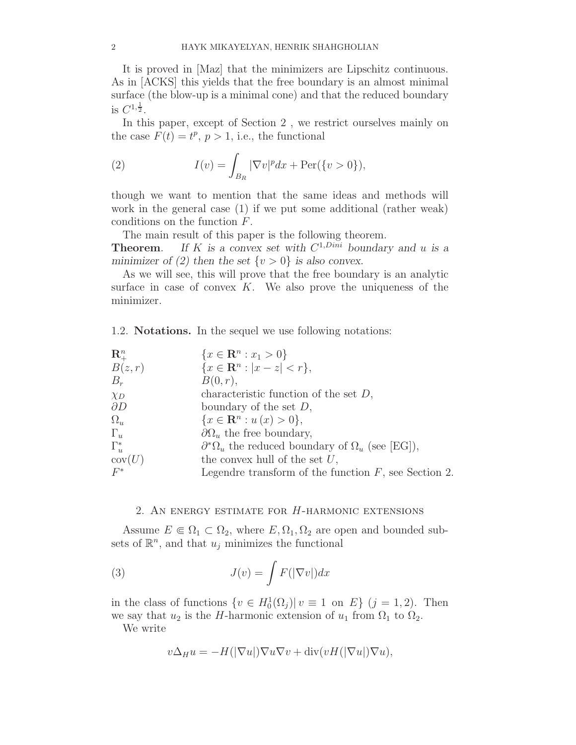It is proved in [Maz] that the minimizers are Lipschitz continuous. As in [ACKS] this yields that the free boundary is an almost minimal surface (the blow-up is a minimal cone) and that the reduced boundary is  $C^{1,\frac{1}{2}}$ .

In this paper, except of Section 2 , we restrict ourselves mainly on the case  $F(t) = t^p$ ,  $p > 1$ , i.e., the functional

(2) 
$$
I(v) = \int_{B_R} |\nabla v|^p dx + \text{Per}(\{v > 0\}),
$$

though we want to mention that the same ideas and methods will work in the general case (1) if we put some additional (rather weak) conditions on the function F.

The main result of this paper is the following theorem.

**Theorem.** If K is a convex set with  $C^{1, Dini}$  boundary and u is a minimizer of (2) then the set  $\{v > 0\}$  is also convex.

As we will see, this will prove that the free boundary is an analytic surface in case of convex  $K$ . We also prove the uniqueness of the minimizer.

1.2. Notations. In the sequel we use following notations:

| $\mathbf{R}_{+}^{n}$ | ${x \in \mathbf{R}^n : x_1 > 0}$                                    |
|----------------------|---------------------------------------------------------------------|
| B(z,r)               | ${x \in \mathbf{R}^n :  x - z  < r},$                               |
| $B_r$                | B(0,r),                                                             |
| $\chi_D$             | characteristic function of the set $D$ ,                            |
| $\partial D$         | boundary of the set $D$ ,                                           |
| $\Omega_u$           | $\{x \in \mathbf{R}^n : u(x) > 0\},\$                               |
| $\Gamma_u$           | $\partial\Omega_u$ the free boundary,                               |
| $\Gamma_u^*$         | $\partial^*\Omega_u$ the reduced boundary of $\Omega_u$ (see [EG]), |
| cov(U)               | the convex hull of the set $U$ ,                                    |
| $F^*$                | Legendre transform of the function $F$ , see Section 2.             |

#### 2. AN ENERGY ESTIMATE FOR  $H$ -HARMONIC EXTENSIONS

Assume  $E \in \Omega_1 \subset \Omega_2$ , where  $E, \Omega_1, \Omega_2$  are open and bounded subsets of  $\mathbb{R}^n$ , and that  $u_j$  minimizes the functional

(3) 
$$
J(v) = \int F(|\nabla v|) dx
$$

in the class of functions  $\{v \in H_0^1(\Omega_j) | v \equiv 1 \text{ on } E\}$   $(j = 1, 2)$ . Then we say that  $u_2$  is the H-harmonic extension of  $u_1$  from  $\Omega_1$  to  $\Omega_2$ .

We write

$$
v\Delta_H u = -H(|\nabla u|)\nabla u \nabla v + \text{div}(vH(|\nabla u|)\nabla u),
$$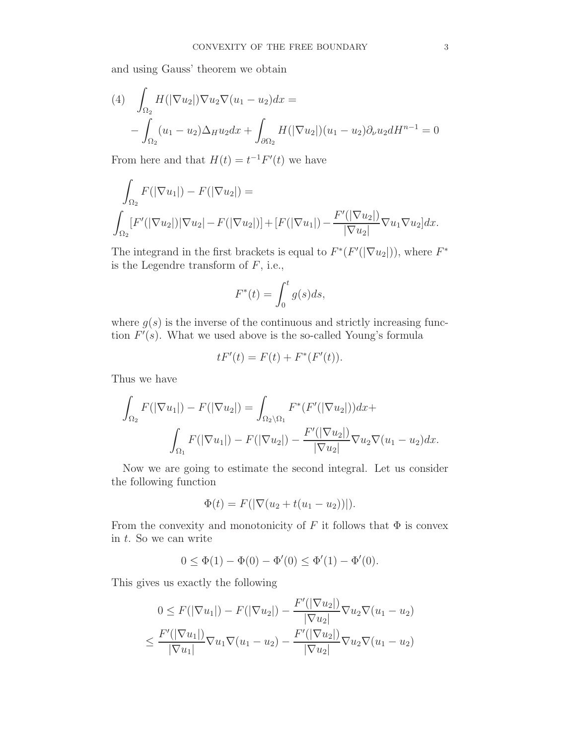and using Gauss' theorem we obtain

(4) 
$$
\int_{\Omega_2} H(|\nabla u_2|) \nabla u_2 \nabla (u_1 - u_2) dx =
$$

$$
- \int_{\Omega_2} (u_1 - u_2) \Delta_H u_2 dx + \int_{\partial \Omega_2} H(|\nabla u_2|) (u_1 - u_2) \partial_\nu u_2 dH^{n-1} = 0
$$

From here and that  $H(t) = t^{-1}F'(t)$  we have

$$
\int_{\Omega_2} F(|\nabla u_1|) - F(|\nabla u_2|) =
$$
\n
$$
\int_{\Omega_2} [F'(|\nabla u_2|) |\nabla u_2| - F(|\nabla u_2|)] + [F(|\nabla u_1|) - \frac{F'(|\nabla u_2|)}{|\nabla u_2|} \nabla u_1 \nabla u_2] dx.
$$

The integrand in the first brackets is equal to  $F^*(F'(|\nabla u_2|))$ , where  $F^*$ is the Legendre transform of  $F$ , i.e.,

$$
F^*(t) = \int_0^t g(s)ds,
$$

where  $g(s)$  is the inverse of the continuous and strictly increasing function  $F'(s)$ . What we used above is the so-called Young's formula

$$
tF'(t) = F(t) + F^*(F'(t)).
$$

Thus we have

$$
\int_{\Omega_2} F(|\nabla u_1|) - F(|\nabla u_2|) = \int_{\Omega_2 \setminus \Omega_1} F^*(F'(|\nabla u_2|)) dx +
$$

$$
\int_{\Omega_1} F(|\nabla u_1|) - F(|\nabla u_2|) - \frac{F'(|\nabla u_2|)}{|\nabla u_2|} \nabla u_2 \nabla (u_1 - u_2) dx.
$$

Now we are going to estimate the second integral. Let us consider the following function

$$
\Phi(t) = F(|\nabla(u_2 + t(u_1 - u_2))|).
$$

From the convexity and monotonicity of F it follows that  $\Phi$  is convex in t. So we can write

$$
0 \leq \Phi(1) - \Phi(0) - \Phi'(0) \leq \Phi'(1) - \Phi'(0).
$$

This gives us exactly the following

$$
0 \leq F(|\nabla u_1|) - F(|\nabla u_2|) - \frac{F'(|\nabla u_2|)}{|\nabla u_2|} \nabla u_2 \nabla (u_1 - u_2)
$$
  

$$
\leq \frac{F'(|\nabla u_1|)}{|\nabla u_1|} \nabla u_1 \nabla (u_1 - u_2) - \frac{F'(|\nabla u_2|)}{|\nabla u_2|} \nabla u_2 \nabla (u_1 - u_2)
$$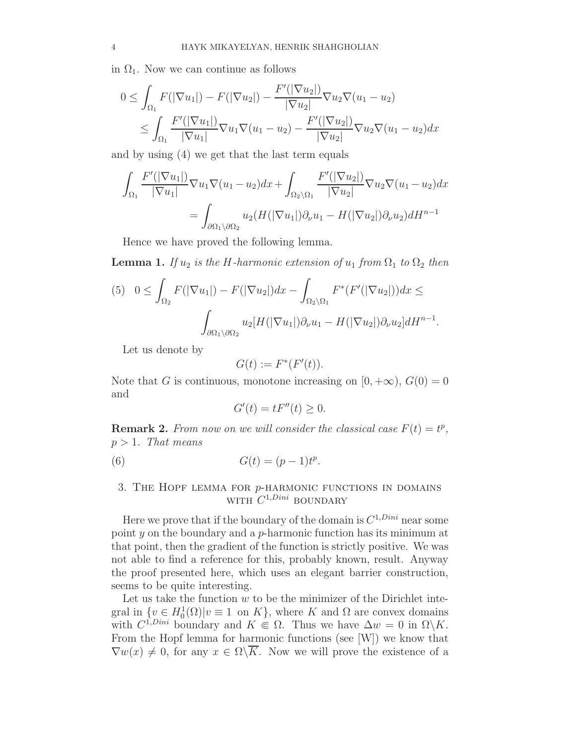in  $\Omega_1$ . Now we can continue as follows

$$
0 \leq \int_{\Omega_1} F(|\nabla u_1|) - F(|\nabla u_2|) - \frac{F'(|\nabla u_2|)}{|\nabla u_2|} \nabla u_2 \nabla (u_1 - u_2)
$$
  

$$
\leq \int_{\Omega_1} \frac{F'(|\nabla u_1|)}{|\nabla u_1|} \nabla u_1 \nabla (u_1 - u_2) - \frac{F'(|\nabla u_2|)}{|\nabla u_2|} \nabla u_2 \nabla (u_1 - u_2) dx
$$

and by using (4) we get that the last term equals

$$
\int_{\Omega_1} \frac{F'(|\nabla u_1|)}{|\nabla u_1|} \nabla u_1 \nabla (u_1 - u_2) dx + \int_{\Omega_2 \setminus \Omega_1} \frac{F'(|\nabla u_2|)}{|\nabla u_2|} \nabla u_2 \nabla (u_1 - u_2) dx
$$

$$
= \int_{\partial \Omega_1 \setminus \partial \Omega_2} u_2(H(|\nabla u_1|) \partial_\nu u_1 - H(|\nabla u_2|) \partial_\nu u_2) dH^{n-1}
$$

Hence we have proved the following lemma.

**Lemma 1.** If  $u_2$  is the H-harmonic extension of  $u_1$  from  $\Omega_1$  to  $\Omega_2$  then

$$
(5) \quad 0 \leq \int_{\Omega_2} F(|\nabla u_1|) - F(|\nabla u_2|) dx - \int_{\Omega_2 \setminus \Omega_1} F^*(F'(|\nabla u_2|)) dx \leq
$$

$$
\int_{\partial \Omega_1 \setminus \partial \Omega_2} u_2[H(|\nabla u_1|) \partial_\nu u_1 - H(|\nabla u_2|) \partial_\nu u_2] dH^{n-1}.
$$

Let us denote by

$$
G(t) := F^*(F'(t)).
$$

Note that G is continuous, monotone increasing on  $[0, +\infty)$ ,  $G(0) = 0$ and

$$
G'(t) = tF''(t) \ge 0.
$$

**Remark 2.** From now on we will consider the classical case  $F(t) = t^p$ ,  $p > 1$ . That means

(6) 
$$
G(t) = (p-1)t^p.
$$

## 3. THE HOPF LEMMA FOR  $p$ -HARMONIC FUNCTIONS IN DOMAINS WITH  $C^{1,Dini}$  BOUNDARY

Here we prove that if the boundary of the domain is  $C^{1, Dini}$  near some point  $y$  on the boundary and a p-harmonic function has its minimum at that point, then the gradient of the function is strictly positive. We was not able to find a reference for this, probably known, result. Anyway the proof presented here, which uses an elegant barrier construction, seems to be quite interesting.

Let us take the function  $w$  to be the minimizer of the Dirichlet integral in  $\{v \in H_0^1(\Omega) | v \equiv 1 \text{ on } K\}$ , where K and  $\Omega$  are convex domains with  $C^{1,Dini}$  boundary and  $K \in \Omega$ . Thus we have  $\Delta w = 0$  in  $\Omega \backslash K$ . From the Hopf lemma for harmonic functions (see [W]) we know that  $\nabla w(x) \neq 0$ , for any  $x \in \Omega\backslash \overline{K}$ . Now we will prove the existence of a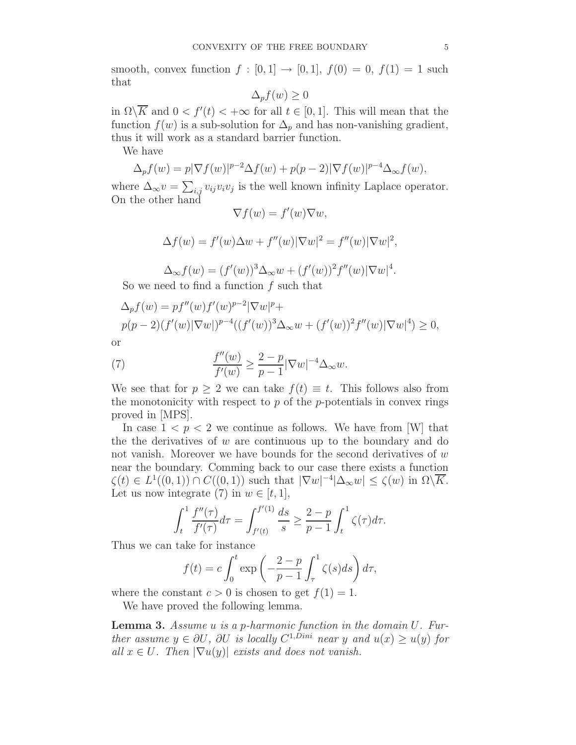smooth, convex function  $f : [0,1] \rightarrow [0,1]$ ,  $f(0) = 0$ ,  $f(1) = 1$  such that

$$
\Delta_p f(w) \ge 0
$$

in  $\Omega \backslash \overline{K}$  and  $0 < f'(t) < +\infty$  for all  $t \in [0, 1]$ . This will mean that the function  $f(w)$  is a sub-solution for  $\Delta_p$  and has non-vanishing gradient, thus it will work as a standard barrier function.

We have

$$
\Delta_p f(w) = p|\nabla f(w)|^{p-2} \Delta f(w) + p(p-2)|\nabla f(w)|^{p-4} \Delta_\infty f(w),
$$

where  $\Delta_{\infty} v = \sum_{i,j} v_{ij} v_i v_j$  is the well known infinity Laplace operator. On the other hand

$$
\nabla f(w) = f'(w)\nabla w,
$$

$$
\Delta f(w) = f'(w)\Delta w + f''(w)|\nabla w|^2 = f''(w)|\nabla w|^2,
$$

 $\Delta_{\infty} f(w) = (f'(w))^3 \Delta_{\infty} w + (f'(w))^2 f''(w) |\nabla w|^4.$ 

So we need to find a function  $f$  such that

$$
\Delta_p f(w) = pf''(w) f'(w)^{p-2} |\nabla w|^p +
$$
  
 
$$
p(p-2)(f'(w)|\nabla w|)^{p-4} ((f'(w))^3 \Delta_\infty w + (f'(w))^2 f''(w)|\nabla w|^4) \ge 0,
$$

or

(7) 
$$
\frac{f''(w)}{f'(w)} \ge \frac{2-p}{p-1} |\nabla w|^{-4} \Delta_{\infty} w.
$$

We see that for  $p \geq 2$  we can take  $f(t) \equiv t$ . This follows also from the monotonicity with respect to  $p$  of the  $p$ -potentials in convex rings proved in [MPS].

In case  $1 < p < 2$  we continue as follows. We have from [W] that the the derivatives of  $w$  are continuous up to the boundary and do not vanish. Moreover we have bounds for the second derivatives of  $w$ near the boundary. Comming back to our case there exists a function  $\zeta(t) \in L^1((0,1)) \cap C((0,1))$  such that  $|\nabla w|^{-4}|\Delta_\infty w| \leq \zeta(w)$  in  $\Omega\setminus\overline{K}$ . Let us now integrate (7) in  $w \in [t, 1]$ ,

$$
\int_{t}^{1} \frac{f''(\tau)}{f'(\tau)} d\tau = \int_{f'(t)}^{f'(1)} \frac{ds}{s} \ge \frac{2-p}{p-1} \int_{t}^{1} \zeta(\tau) d\tau.
$$

Thus we can take for instance

$$
f(t) = c \int_0^t \exp\left(-\frac{2-p}{p-1} \int_\tau^1 \zeta(s) ds\right) d\tau,
$$

where the constant  $c > 0$  is chosen to get  $f(1) = 1$ .

We have proved the following lemma.

**Lemma 3.** Assume  $u$  is a p-harmonic function in the domain  $U$ . Further assume  $y \in \partial U$ ,  $\partial U$  is locally  $C^{1,Dini}$  near y and  $u(x) \ge u(y)$  for all  $x \in U$ . Then  $|\nabla u(y)|$  exists and does not vanish.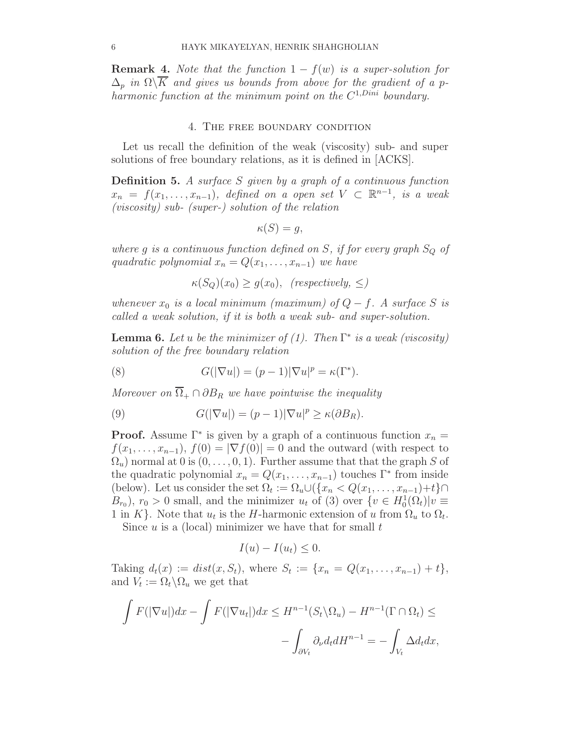**Remark 4.** Note that the function  $1 - f(w)$  is a super-solution for  $\Delta_p$  in  $\Omega\backslash\overline{K}$  and gives us bounds from above for the gradient of a pharmonic function at the minimum point on the  $C^{1, Dini}$  boundary.

#### 4. The free boundary condition

Let us recall the definition of the weak (viscosity) sub- and super solutions of free boundary relations, as it is defined in [ACKS].

**Definition 5.** A surface S given by a graph of a continuous function  $x_n = f(x_1, \ldots, x_{n-1}),$  defined on a open set  $V \subset \mathbb{R}^{n-1}$ , is a weak (viscosity) sub- (super-) solution of the relation

$$
\kappa(S) = g,
$$

where g is a continuous function defined on S, if for every graph  $S_Q$  of quadratic polynomial  $x_n = Q(x_1, \ldots, x_{n-1})$  we have

 $\kappa(S_Q)(x_0) \geq g(x_0)$ , (respectively, <)

whenever  $x_0$  is a local minimum (maximum) of  $Q - f$ . A surface S is called a weak solution, if it is both a weak sub- and super-solution.

**Lemma 6.** Let u be the minimizer of  $(1)$ . Then  $\Gamma^*$  is a weak (viscosity) solution of the free boundary relation

(8) 
$$
G(|\nabla u|) = (p-1)|\nabla u|^p = \kappa(\Gamma^*).
$$

Moreover on  $\overline{\Omega}_+ \cap \partial B_R$  we have pointwise the inequality

(9) 
$$
G(|\nabla u|) = (p-1)|\nabla u|^p \ge \kappa(\partial B_R).
$$

**Proof.** Assume  $\Gamma^*$  is given by a graph of a continuous function  $x_n =$  $f(x_1, \ldots, x_{n-1}), f(0) = |\nabla f(0)| = 0$  and the outward (with respect to  $\Omega_u$ ) normal at 0 is  $(0, \ldots, 0, 1)$ . Further assume that that the graph S of the quadratic polynomial  $x_n = Q(x_1, \ldots, x_{n-1})$  touches  $\Gamma^*$  from inside (below). Let us consider the set  $\Omega_t := \Omega_u \cup (\{x_n < Q(x_1, \ldots, x_{n-1}) + t\} \cap$  $(B_{r_0}), r_0 > 0$  small, and the minimizer  $u_t$  of (3) over  $\{v \in H_0^1(\Omega_t)|v = 0\}$ 1 in K}. Note that  $u_t$  is the H-harmonic extension of u from  $\Omega_u$  to  $\Omega_t$ .

Since  $u$  is a (local) minimizer we have that for small  $t$ 

$$
I(u) - I(u_t) \leq 0.
$$

Taking  $d_t(x) := dist(x, S_t)$ , where  $S_t := \{x_n = Q(x_1, ..., x_{n-1}) + t\},$ and  $V_t := \Omega_t \backslash \Omega_u$  we get that

$$
\int F(|\nabla u|)dx - \int F(|\nabla u_t|)dx \le H^{n-1}(S_t \setminus \Omega_u) - H^{n-1}(\Gamma \cap \Omega_t) \le
$$
  

$$
-\int_{\partial V_t} \partial_{\nu} d_t dH^{n-1} = -\int_{V_t} \Delta d_t dx,
$$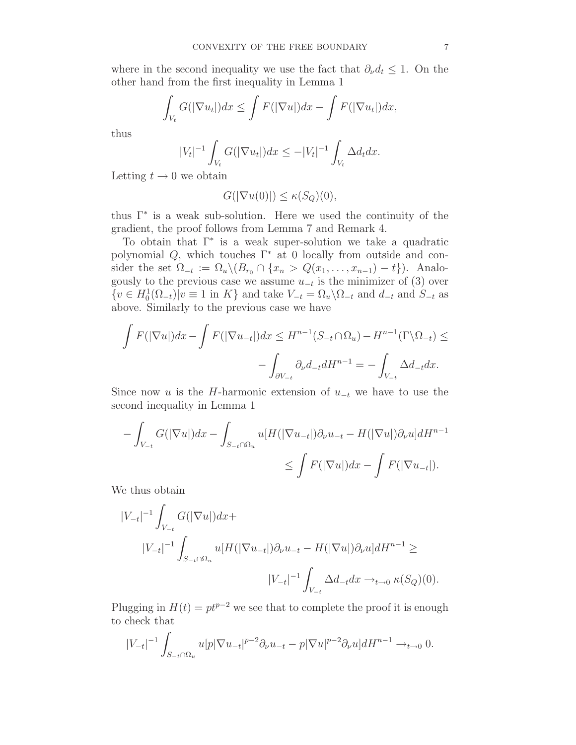where in the second inequality we use the fact that  $\partial_{\nu} d_t \leq 1$ . On the other hand from the first inequality in Lemma 1

$$
\int_{V_t} G(|\nabla u_t|) dx \leq \int F(|\nabla u|) dx - \int F(|\nabla u_t|) dx,
$$

thus

$$
|V_t|^{-1} \int_{V_t} G(|\nabla u_t|) dx \le -|V_t|^{-1} \int_{V_t} \Delta d_t dx.
$$

Letting  $t \to 0$  we obtain

$$
G(|\nabla u(0)|) \le \kappa(S_Q)(0),
$$

thus Γ<sup>∗</sup> is a weak sub-solution. Here we used the continuity of the gradient, the proof follows from Lemma 7 and Remark 4.

To obtain that Γ<sup>∗</sup> is a weak super-solution we take a quadratic polynomial  $Q$ , which touches  $\Gamma^*$  at 0 locally from outside and consider the set  $\Omega_{-t} := \Omega_u \setminus (B_{r_0} \cap \{x_n > Q(x_1, \ldots, x_{n-1}) - t\})$ . Analogously to the previous case we assume  $u_{-t}$  is the minimizer of (3) over  $\{v \in H_0^1(\Omega_{-t}) | v \equiv 1 \text{ in } K\}$  and take  $V_{-t} = \Omega_u \backslash \Omega_{-t}$  and  $d_{-t}$  and  $S_{-t}$  as above. Similarly to the previous case we have

$$
\int F(|\nabla u|)dx - \int F(|\nabla u_{-t}|)dx \le H^{n-1}(S_{-t} \cap \Omega_u) - H^{n-1}(\Gamma \backslash \Omega_{-t}) \le
$$

$$
-\int_{\partial V_{-t}} \partial_{\nu} d_{-t} dH^{n-1} = -\int_{V_{-t}} \Delta d_{-t} dx.
$$

Since now u is the H-harmonic extension of  $u_{-t}$  we have to use the second inequality in Lemma 1

$$
-\int_{V_{-t}} G(|\nabla u|) dx - \int_{S_{-t} \cap \Omega_u} u[H(|\nabla u_{-t}|) \partial_\nu u_{-t} - H(|\nabla u|) \partial_\nu u] dH^{n-1} \leq \int F(|\nabla u|) dx - \int F(|\nabla u_{-t}|).
$$

We thus obtain

$$
|V_{-t}|^{-1} \int_{V_{-t}} G(|\nabla u|) dx +
$$
  
\n
$$
|V_{-t}|^{-1} \int_{S_{-t} \cap \Omega_u} u[H(|\nabla u_{-t}|) \partial_\nu u_{-t} - H(|\nabla u|) \partial_\nu u] dH^{n-1} \ge
$$
  
\n
$$
|V_{-t}|^{-1} \int_{V_{-t}} \Delta d_{-t} dx \to_{t \to 0} \kappa(S_Q)(0).
$$

Plugging in  $H(t) = pt^{p-2}$  we see that to complete the proof it is enough to check that

$$
|V_{-t}|^{-1} \int_{S_{-t} \cap \Omega_u} u[p|\nabla u_{-t}|^{p-2} \partial_\nu u_{-t} - p|\nabla u|^{p-2} \partial_\nu u] dH^{n-1} \to_{t \to 0} 0.
$$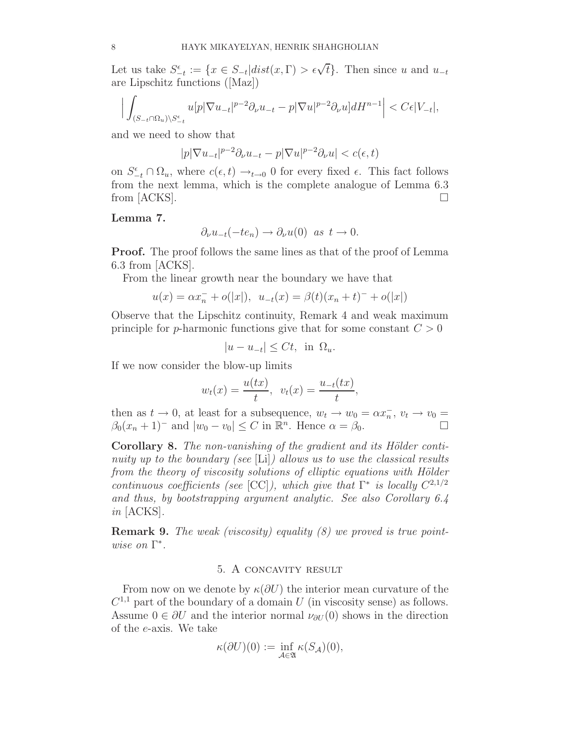Let us take  $S_{-t}^{\epsilon} := \{x \in S_{-t} | dist(x, \Gamma) > \epsilon \sqrt{t}\}.$  Then since u and  $u_{-t}$ are Lipschitz functions ([Maz])

$$
\Big|\int_{(S_{-t}\cap\Omega_u)\backslash S^{\epsilon}_{-t}}u[p|\nabla u_{-t}|^{p-2}\partial_{\nu}u_{-t}-p|\nabla u|^{p-2}\partial_{\nu}u]dH^{n-1}\Big|
$$

and we need to show that

$$
|p|\nabla u_{-t}|^{p-2}\partial_{\nu}u_{-t} - p|\nabla u|^{p-2}\partial_{\nu}u| < c(\epsilon, t)
$$

on  $S_{-t}^{\epsilon} \cap \Omega_u$ , where  $c(\epsilon, t) \to_{t \to 0} 0$  for every fixed  $\epsilon$ . This fact follows from the next lemma, which is the complete analogue of Lemma 6.3 from [ACKS].  $\Box$ 

#### Lemma 7.

$$
\partial_{\nu}u_{-t}(-te_n) \to \partial_{\nu}u(0) \text{ as } t \to 0.
$$

**Proof.** The proof follows the same lines as that of the proof of Lemma 6.3 from [ACKS].

From the linear growth near the boundary we have that

$$
u(x) = \alpha x_n^- + o(|x|), \ \ u_{-t}(x) = \beta(t)(x_n + t)^- + o(|x|)
$$

Observe that the Lipschitz continuity, Remark 4 and weak maximum principle for p-harmonic functions give that for some constant  $C > 0$ 

$$
|u - u_{-t}| \le Ct, \text{ in } \Omega_u.
$$

If we now consider the blow-up limits

$$
w_t(x) = \frac{u(tx)}{t}, \ \ v_t(x) = \frac{u_{-t}(tx)}{t},
$$

then as  $t \to 0$ , at least for a subsequence,  $w_t \to w_0 = \alpha x_n^-, v_t \to v_0 =$  $\beta_0(x_n+1)^-$  and  $|w_0-v_0| \leq C$  in  $\mathbb{R}^n$ . Hence  $\alpha = \beta_0$ .

Corollary 8. The non-vanishing of the gradient and its Hölder continuity up to the boundary (see [Li]) allows us to use the classical results from the theory of viscosity solutions of elliptic equations with Hölder continuous coefficients (see [CC]), which give that  $\Gamma^*$  is locally  $C^{2,1/2}$ and thus, by bootstrapping argument analytic. See also Corollary 6.4 in [ACKS].

**Remark 9.** The weak (viscosity) equality  $(8)$  we proved is true pointwise on Γ ∗ .

#### 5. A concavity result

From now on we denote by  $\kappa(\partial U)$  the interior mean curvature of the  $C^{1,1}$  part of the boundary of a domain U (in viscosity sense) as follows. Assume  $0 \in \partial U$  and the interior normal  $\nu_{\partial U}(0)$  shows in the direction of the e-axis. We take

$$
\kappa(\partial U)(0) := \inf_{\mathcal{A}\in\mathfrak{A}} \kappa(S_{\mathcal{A}})(0),
$$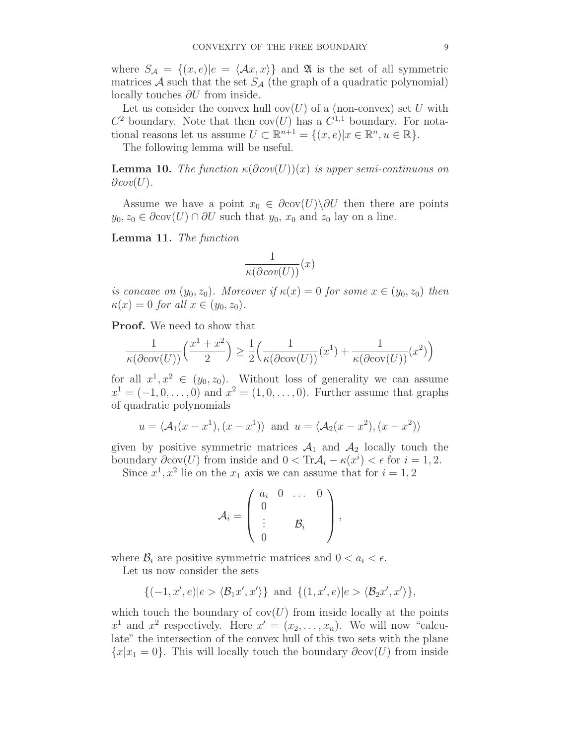where  $S_{\mathcal{A}} = \{(x, e) | e = \langle Ax, x \rangle\}$  and  $\mathfrak A$  is the set of all symmetric matrices A such that the set  $S_A$  (the graph of a quadratic polynomial) locally touches ∂U from inside.

Let us consider the convex hull  $cov(U)$  of a (non-convex) set U with  $C^2$  boundary. Note that then  $cov(U)$  has a  $C^{1,1}$  boundary. For notational reasons let us assume  $U \subset \mathbb{R}^{n+1} = \{(x, e) | x \in \mathbb{R}^n, u \in \mathbb{R}\}.$ 

The following lemma will be useful.

**Lemma 10.** The function  $\kappa(\partial cov(U))(x)$  is upper semi-continuous on  $\partial cov(U)$ .

Assume we have a point  $x_0 \in \partial cov(U) \backslash \partial U$  then there are points  $y_0, z_0 \in \partial cov(U) \cap \partial U$  such that  $y_0, x_0$  and  $z_0$  lay on a line.

Lemma 11. The function

$$
\frac{1}{\kappa(\partial cov(U))}(x)
$$

is concave on  $(y_0, z_0)$ . Moreover if  $\kappa(x) = 0$  for some  $x \in (y_0, z_0)$  then  $\kappa(x) = 0$  for all  $x \in (y_0, z_0)$ .

Proof. We need to show that

$$
\frac{1}{\kappa(\partial \text{cov}(U))} \left( \frac{x^1 + x^2}{2} \right) \ge \frac{1}{2} \left( \frac{1}{\kappa(\partial \text{cov}(U))} (x^1) + \frac{1}{\kappa(\partial \text{cov}(U))} (x^2) \right)
$$

for all  $x^1, x^2 \in (y_0, z_0)$ . Without loss of generality we can assume  $x^{1} = (-1, 0, \ldots, 0)$  and  $x^{2} = (1, 0, \ldots, 0)$ . Further assume that graphs of quadratic polynomials

$$
u = \langle A_1(x - x^1), (x - x^1) \rangle
$$
 and  $u = \langle A_2(x - x^2), (x - x^2) \rangle$ 

given by positive symmetric matrices  $A_1$  and  $A_2$  locally touch the boundary  $\partial cov(U)$  from inside and  $0 < \text{Tr} \mathcal{A}_i - \kappa(x^i) < \epsilon$  for  $i = 1, 2$ .

Since  $x^1, x^2$  lie on the  $x_1$  axis we can assume that for  $i = 1, 2$ 

$$
A_i = \left(\begin{array}{ccc} a_i & 0 & \dots & 0 \\ 0 & & & \\ \vdots & & \mathcal{B}_i & \\ 0 & & & \end{array}\right),
$$

where  $\mathcal{B}_i$  are positive symmetric matrices and  $0 < a_i < \epsilon$ .

Let us now consider the sets

$$
\{(-1, x', e)|e\rangle \langle \mathcal{B}_1 x', x'\rangle\} \text{ and } \{(1, x', e)|e\rangle \langle \mathcal{B}_2 x', x'\rangle\},\
$$

which touch the boundary of  $cov(U)$  from inside locally at the points  $x^1$  and  $x^2$  respectively. Here  $x' = (x_2, \ldots, x_n)$ . We will now "calculate" the intersection of the convex hull of this two sets with the plane  ${x|x_1 = 0}$ . This will locally touch the boundary  $\partial cov(U)$  from inside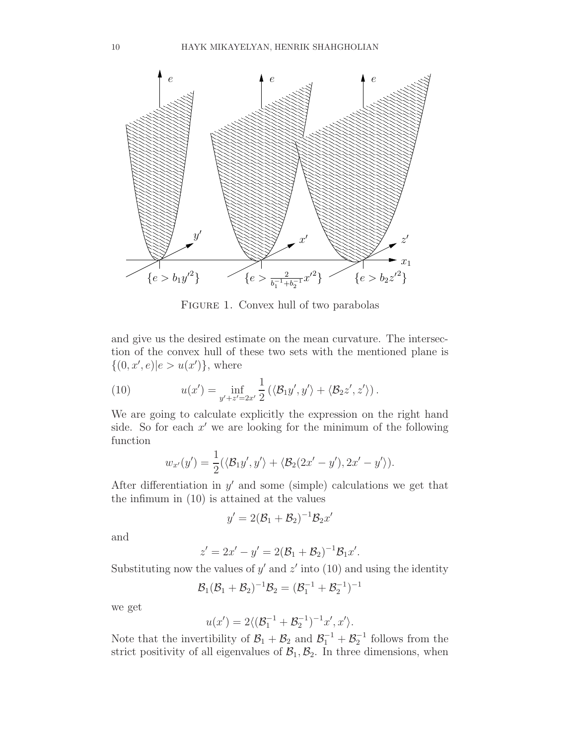

FIGURE 1. Convex hull of two parabolas

and give us the desired estimate on the mean curvature. The intersection of the convex hull of these two sets with the mentioned plane is  $\{(0, x', e)|e > u(x')\},$  where

(10) 
$$
u(x') = \inf_{y'+z'=2x'} \frac{1}{2} (\langle \mathcal{B}_1 y', y' \rangle + \langle \mathcal{B}_2 z', z' \rangle).
$$

We are going to calculate explicitly the expression on the right hand side. So for each  $x'$  we are looking for the minimum of the following function

$$
w_{x'}(y') = \frac{1}{2}(\langle \mathcal{B}_1 y', y' \rangle + \langle \mathcal{B}_2(2x' - y'), 2x' - y' \rangle).
$$

After differentiation in  $y'$  and some (simple) calculations we get that the infimum in (10) is attained at the values

$$
y'=2(\mathcal{B}_1+\mathcal{B}_2)^{-1}\mathcal{B}_2x'
$$

and

$$
z' = 2x' - y' = 2(\mathcal{B}_1 + \mathcal{B}_2)^{-1}\mathcal{B}_1x'.
$$

Substituting now the values of  $y'$  and  $z'$  into (10) and using the identity

$$
\mathcal{B}_1(\mathcal{B}_1+\mathcal{B}_2)^{-1}\mathcal{B}_2=(\mathcal{B}_1^{-1}+\mathcal{B}_2^{-1})^{-1}
$$

we get

$$
u(x') = 2\langle (\mathcal{B}_1^{-1} + \mathcal{B}_2^{-1})^{-1}x', x'\rangle.
$$

Note that the invertibility of  $\mathcal{B}_1 + \mathcal{B}_2$  and  $\mathcal{B}_1^{-1} + \mathcal{B}_2^{-1}$  follows from the strict positivity of all eigenvalues of  $\mathcal{B}_1, \mathcal{B}_2$ . In three dimensions, when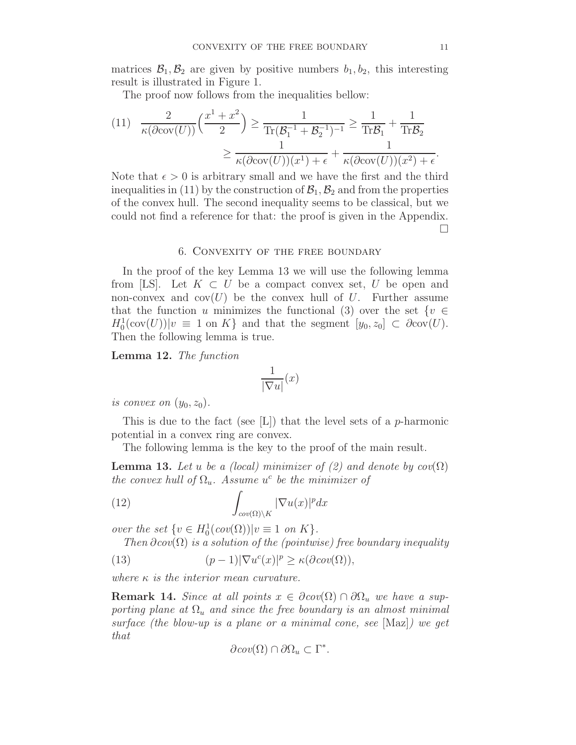matrices  $\mathcal{B}_1, \mathcal{B}_2$  are given by positive numbers  $b_1, b_2$ , this interesting result is illustrated in Figure 1.

The proof now follows from the inequalities bellow:

$$
(11) \frac{2}{\kappa(\partial \text{cov}(U))} \left(\frac{x^1 + x^2}{2}\right) \ge \frac{1}{\text{Tr}(\mathcal{B}_1^{-1} + \mathcal{B}_2^{-1})^{-1}} \ge \frac{1}{\text{Tr}\mathcal{B}_1} + \frac{1}{\text{Tr}\mathcal{B}_2}
$$

$$
\ge \frac{1}{\kappa(\partial \text{cov}(U))(x^1) + \epsilon} + \frac{1}{\kappa(\partial \text{cov}(U))(x^2) + \epsilon}.
$$

Note that  $\epsilon > 0$  is arbitrary small and we have the first and the third inequalities in (11) by the construction of  $\mathcal{B}_1, \mathcal{B}_2$  and from the properties of the convex hull. The second inequality seems to be classical, but we could not find a reference for that: the proof is given in the Appendix.  $\Box$ 

#### 6. Convexity of the free boundary

In the proof of the key Lemma 13 we will use the following lemma from [LS]. Let  $K \subset U$  be a compact convex set, U be open and non-convex and  $cov(U)$  be the convex hull of U. Further assume that the function u minimizes the functional (3) over the set  $\{v \in$  $H_0^1(\text{cov}(U))|v \equiv 1 \text{ on } K$  and that the segment  $[y_0, z_0] \subset \partial \text{cov}(U)$ . Then the following lemma is true.

Lemma 12. The function

$$
\frac{1}{|\nabla u|}(x)
$$

is convex on  $(y_0, z_0)$ .

This is due to the fact (see  $|L|$ ) that the level sets of a *p*-harmonic potential in a convex ring are convex.

The following lemma is the key to the proof of the main result.

**Lemma 13.** Let u be a (local) minimizer of (2) and denote by  $cov(\Omega)$ the convex hull of  $\Omega_u$ . Assume  $u^c$  be the minimizer of

(12) 
$$
\int_{cov(\Omega)\setminus K} |\nabla u(x)|^p dx
$$

over the set  $\{v \in H_0^1(cov(\Omega)) | v \equiv 1 \text{ on } K\}.$ 

Then  $\partial cov(\Omega)$  is a solution of the (pointwise) free boundary inequality

(13) 
$$
(p-1)|\nabla u^{c}(x)|^{p} \geq \kappa(\partial cov(\Omega)),
$$

where  $\kappa$  is the interior mean curvature.

**Remark 14.** Since at all points  $x \in \partial cov(\Omega) \cap \partial \Omega_u$  we have a supporting plane at  $\Omega_u$  and since the free boundary is an almost minimal surface (the blow-up is a plane or a minimal cone, see [Maz]) we get that

$$
\partial cov(\Omega) \cap \partial \Omega_u \subset \Gamma^*.
$$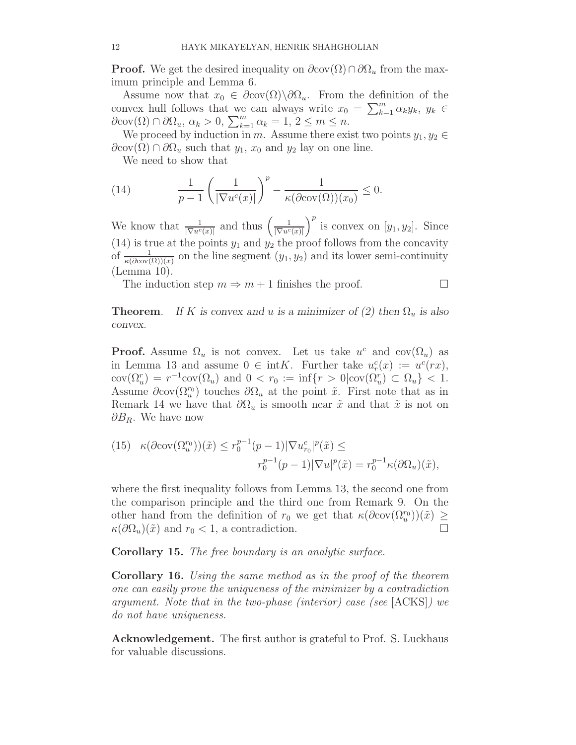**Proof.** We get the desired inequality on  $\partial cov(\Omega) \cap \partial \Omega_u$  from the maximum principle and Lemma 6.

Assume now that  $x_0 \in \partial cov(\Omega) \backslash \partial \Omega_u$ . From the definition of the convex hull follows that we can always write  $x_0 = \sum_{k=1}^m \alpha_k y_k$ ,  $y_k \in$  $\partial \text{cov}(\Omega) \cap \partial \Omega_u, \, \alpha_k > 0, \, \sum_{k=1}^m \alpha_k = 1, \, 2 \leq m \leq n.$ 

We proceed by induction in m. Assume there exist two points  $y_1, y_2 \in$  $\partial \text{cov}(\Omega) \cap \partial \Omega_u$  such that  $y_1, x_0$  and  $y_2$  lay on one line.

We need to show that

(14) 
$$
\frac{1}{p-1} \left( \frac{1}{|\nabla u^c(x)|} \right)^p - \frac{1}{\kappa(\partial \text{cov}(\Omega))(x_0)} \leq 0.
$$

We know that  $\frac{1}{|\nabla u^c(x)|}$  and thus  $\left(\frac{1}{|\nabla u^c(x)|}\right)^p$  is convex on  $[y_1, y_2]$ . Since (14) is true at the points  $y_1$  and  $y_2$  the proof follows from the concavity of  $\frac{1}{\kappa(\partial \text{cov}(\Omega))(x)}$  on the line segment  $(y_1, y_2)$  and its lower semi-continuity (Lemma 10).

The induction step  $m \Rightarrow m+1$  finishes the proof.

**Theorem.** If K is convex and u is a minimizer of (2) then  $\Omega_u$  is also convex.

**Proof.** Assume  $\Omega_u$  is not convex. Let us take  $u^c$  and  $cov(\Omega_u)$  as in Lemma 13 and assume  $0 \in \text{int}K$ . Further take  $u_r^c(x) := u^c(rx)$ ,  $cov(\Omega_u^r) = r^{-1} cov(\Omega_u)$  and  $0 < r_0 := \inf\{r > 0 | cov(\Omega_u^r) \subset \Omega_u\} < 1.$ Assume  $\partial cov(\Omega_u^{r_0})$  touches  $\partial\Omega_u$  at the point  $\tilde{x}$ . First note that as in Remark 14 we have that  $\partial\Omega_u$  is smooth near  $\tilde{x}$  and that  $\tilde{x}$  is not on  $\partial B_R$ . We have now

(15) 
$$
\kappa(\partial \text{cov}(\Omega_u^{r_0}))(\tilde{x}) \le r_0^{p-1}(p-1)|\nabla u_{r_0}^c|^p(\tilde{x}) \le
$$

$$
r_0^{p-1}(p-1)|\nabla u|^p(\tilde{x}) = r_0^{p-1}\kappa(\partial \Omega_u)(\tilde{x}),
$$

where the first inequality follows from Lemma 13, the second one from the comparison principle and the third one from Remark 9. On the other hand from the definition of  $r_0$  we get that  $\kappa(\partial cov(\Omega_u^{r_0}))(\tilde{x}) \geq$  $\kappa(\partial\Omega_u)(\tilde{x})$  and  $r_0 < 1$ , a contradiction.

Corollary 15. The free boundary is an analytic surface.

Corollary 16. Using the same method as in the proof of the theorem one can easily prove the uniqueness of the minimizer by a contradiction argument. Note that in the two-phase (interior) case (see [ACKS]) we do not have uniqueness.

Acknowledgement. The first author is grateful to Prof. S. Luckhaus for valuable discussions.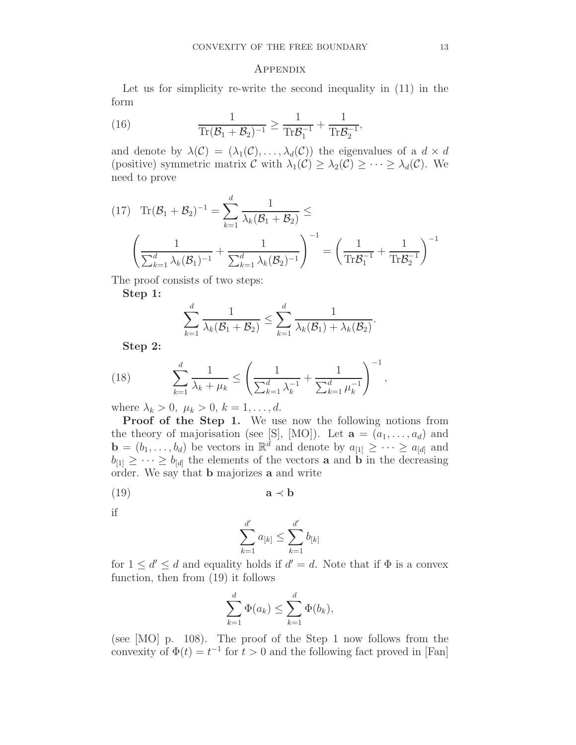#### Appendix

Let us for simplicity re-write the second inequality in (11) in the form

(16) 
$$
\frac{1}{\text{Tr}(\mathcal{B}_1 + \mathcal{B}_2)^{-1}} \ge \frac{1}{\text{Tr} \mathcal{B}_1^{-1}} + \frac{1}{\text{Tr} \mathcal{B}_2^{-1}},
$$

and denote by  $\lambda(C) = (\lambda_1(C), \ldots, \lambda_d(C))$  the eigenvalues of a  $d \times d$ (positive) symmetric matrix  $\mathcal C$  with  $\lambda_1(\mathcal C) \geq \lambda_2(\mathcal C) \geq \cdots \geq \lambda_d(\mathcal C)$ . We need to prove

$$
(17) \quad \text{Tr}(\mathcal{B}_1 + \mathcal{B}_2)^{-1} = \sum_{k=1}^d \frac{1}{\lambda_k (\mathcal{B}_1 + \mathcal{B}_2)} \le
$$
\n
$$
\left(\frac{1}{\sum_{k=1}^d \lambda_k (\mathcal{B}_1)^{-1}} + \frac{1}{\sum_{k=1}^d \lambda_k (\mathcal{B}_2)^{-1}}\right)^{-1} = \left(\frac{1}{\text{Tr} \mathcal{B}_1^{-1}} + \frac{1}{\text{Tr} \mathcal{B}_2^{-1}}\right)^{-1}
$$

The proof consists of two steps:

Step 1:

$$
\sum_{k=1}^d \frac{1}{\lambda_k(\mathcal{B}_1+\mathcal{B}_2)} \leq \sum_{k=1}^d \frac{1}{\lambda_k(\mathcal{B}_1)+\lambda_k(\mathcal{B}_2)}.
$$

Step 2:

(18) 
$$
\sum_{k=1}^{d} \frac{1}{\lambda_k + \mu_k} \le \left( \frac{1}{\sum_{k=1}^{d} \lambda_k^{-1}} + \frac{1}{\sum_{k=1}^{d} \mu_k^{-1}} \right)^{-1},
$$

where  $\lambda_k > 0, \ \mu_k > 0, \ k = 1, \dots, d.$ 

Proof of the Step 1. We use now the following notions from the theory of majorisation (see [S], [MO]). Let  $\mathbf{a} = (a_1, \ldots, a_d)$  and  $\mathbf{b} = (b_1, \ldots, b_d)$  be vectors in  $\mathbb{R}^d$  and denote by  $a_{[1]} \geq \cdots \geq a_{[d]}$  and  $b_{[1]} \geq \cdots \geq b_{[d]}$  the elements of the vectors **a** and **b** in the decreasing order. We say that **b** majorizes **a** and write

$$
(19) \t\t\ta \prec b
$$

if

$$
\sum_{k=1}^{d'} a_{[k]} \le \sum_{k=1}^{d'} b_{[k]}
$$

for  $1 \le d' \le d$  and equality holds if  $d' = d$ . Note that if  $\Phi$  is a convex function, then from (19) it follows

$$
\sum_{k=1}^d \Phi(a_k) \le \sum_{k=1}^d \Phi(b_k),
$$

(see [MO] p. 108). The proof of the Step 1 now follows from the convexity of  $\Phi(t) = t^{-1}$  for  $t > 0$  and the following fact proved in [Fan]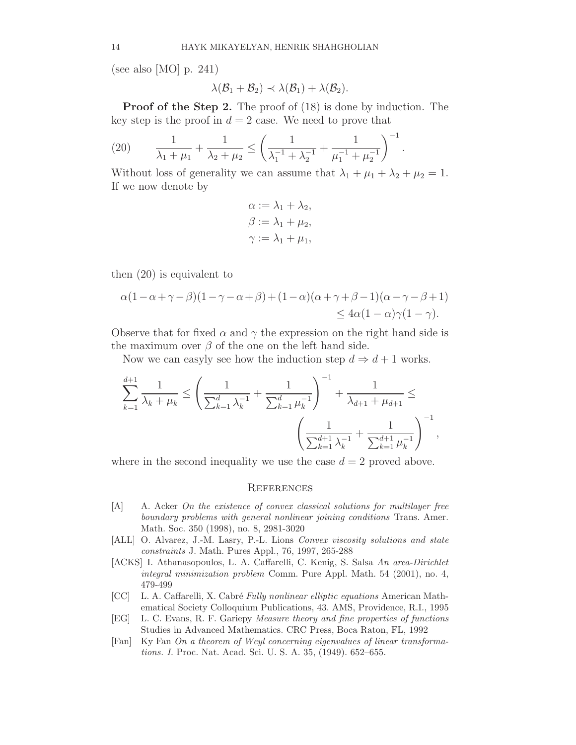(see also [MO] p. 241)

$$
\lambda(\mathcal{B}_1+\mathcal{B}_2)\prec\lambda(\mathcal{B}_1)+\lambda(\mathcal{B}_2).
$$

Proof of the Step 2. The proof of (18) is done by induction. The key step is the proof in  $d = 2$  case. We need to prove that

(20) 
$$
\frac{1}{\lambda_1 + \mu_1} + \frac{1}{\lambda_2 + \mu_2} \le \left( \frac{1}{\lambda_1^{-1} + \lambda_2^{-1}} + \frac{1}{\mu_1^{-1} + \mu_2^{-1}} \right)^{-1}.
$$

Without loss of generality we can assume that  $\lambda_1 + \mu_1 + \lambda_2 + \mu_2 = 1$ . If we now denote by

$$
\alpha := \lambda_1 + \lambda_2,
$$
  
\n
$$
\beta := \lambda_1 + \mu_2,
$$
  
\n
$$
\gamma := \lambda_1 + \mu_1,
$$

then (20) is equivalent to

$$
\alpha(1-\alpha+\gamma-\beta)(1-\gamma-\alpha+\beta)+(1-\alpha)(\alpha+\gamma+\beta-1)(\alpha-\gamma-\beta+1) \le 4\alpha(1-\alpha)\gamma(1-\gamma).
$$

Observe that for fixed  $\alpha$  and  $\gamma$  the expression on the right hand side is the maximum over  $\beta$  of the one on the left hand side.

Now we can easyly see how the induction step  $d \Rightarrow d+1$  works.

$$
\sum_{k=1}^{d+1} \frac{1}{\lambda_k + \mu_k} \le \left( \frac{1}{\sum_{k=1}^d \lambda_k^{-1}} + \frac{1}{\sum_{k=1}^d \mu_k^{-1}} \right)^{-1} + \frac{1}{\lambda_{d+1} + \mu_{d+1}} \le
$$

$$
\left( \frac{1}{\sum_{k=1}^{d+1} \lambda_k^{-1}} + \frac{1}{\sum_{k=1}^{d+1} \mu_k^{-1}} \right)^{-1},
$$

where in the second inequality we use the case  $d = 2$  proved above.

#### **REFERENCES**

- [A] A. Acker On the existence of convex classical solutions for multilayer free boundary problems with general nonlinear joining conditions Trans. Amer. Math. Soc. 350 (1998), no. 8, 2981-3020
- [ALL] O. Alvarez, J.-M. Lasry, P.-L. Lions Convex viscosity solutions and state constraints J. Math. Pures Appl., 76, 1997, 265-288
- [ACKS] I. Athanasopoulos, L. A. Caffarelli, C. Kenig, S. Salsa An area-Dirichlet integral minimization problem Comm. Pure Appl. Math. 54 (2001), no. 4, 479-499
- [CC] L. A. Caffarelli, X. Cabré Fully nonlinear elliptic equations American Mathematical Society Colloquium Publications, 43. AMS, Providence, R.I., 1995
- [EG] L. C. Evans, R. F. Gariepy Measure theory and fine properties of functions Studies in Advanced Mathematics. CRC Press, Boca Raton, FL, 1992
- [Fan] Ky Fan On a theorem of Weyl concerning eigenvalues of linear transformations. I. Proc. Nat. Acad. Sci. U. S. A. 35, (1949). 652–655.